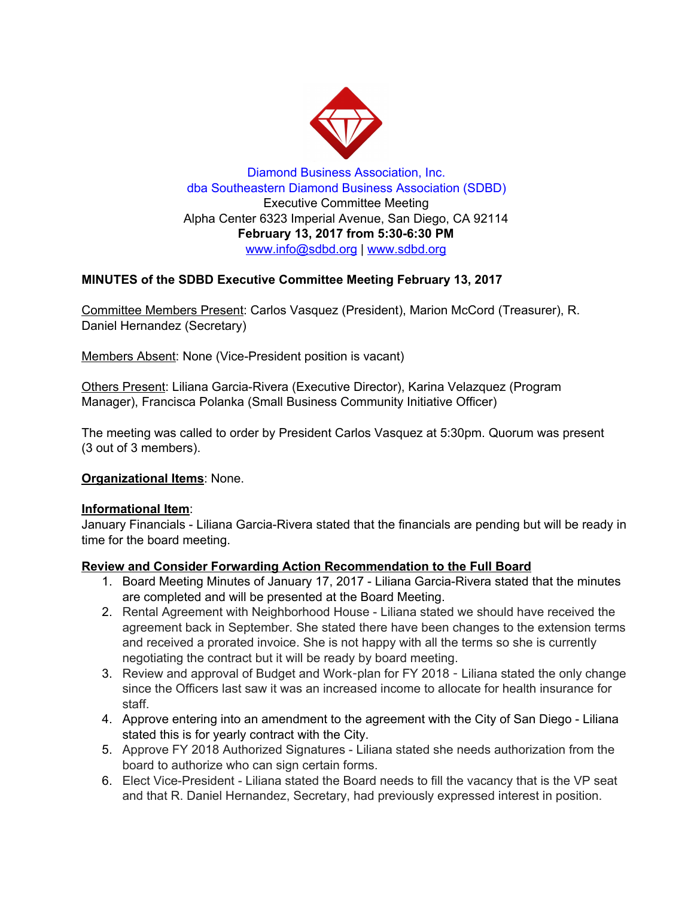

Diamond Business Association, Inc. dba Southeastern Diamond Business Association (SDBD) Executive Committee Meeting Alpha Center 6323 Imperial Avenue, San Diego, CA 92114 **February 13, 2017 from 5:30-6:30 PM** www.info@sdbd.org | [www.sdbd.org](http://www.sdbd.org/)

## **MINUTES of the SDBD Executive Committee Meeting February 13, 2017**

Committee Members Present: Carlos Vasquez (President), Marion McCord (Treasurer), R. Daniel Hernandez (Secretary)

Members Absent: None (Vice-President position is vacant)

Others Present: Liliana Garcia-Rivera (Executive Director), Karina Velazquez (Program Manager), Francisca Polanka (Small Business Community Initiative Officer)

The meeting was called to order by President Carlos Vasquez at 5:30pm. Quorum was present (3 out of 3 members).

### **Organizational Items**: None.

### **Informational Item**:

January Financials - Liliana Garcia-Rivera stated that the financials are pending but will be ready in time for the board meeting.

### **Review and Consider Forwarding Action Recommendation to the Full Board**

- 1. Board Meeting Minutes of January 17, 2017 Liliana Garcia-Rivera stated that the minutes are completed and will be presented at the Board Meeting.
- 2. Rental Agreement with Neighborhood House Liliana stated we should have received the agreement back in September. She stated there have been changes to the extension terms and received a prorated invoice. She is not happy with all the terms so she is currently negotiating the contract but it will be ready by board meeting.
- 3. Review and approval of Budget and Work-plan for FY 2018 Liliana stated the only change since the Officers last saw it was an increased income to allocate for health insurance for staff.
- 4. Approve entering into an amendment to the agreement with the City of San Diego Liliana stated this is for yearly contract with the City.
- 5. Approve FY 2018 Authorized Signatures Liliana stated she needs authorization from the board to authorize who can sign certain forms.
- 6. Elect Vice-President Liliana stated the Board needs to fill the vacancy that is the VP seat and that R. Daniel Hernandez, Secretary, had previously expressed interest in position.